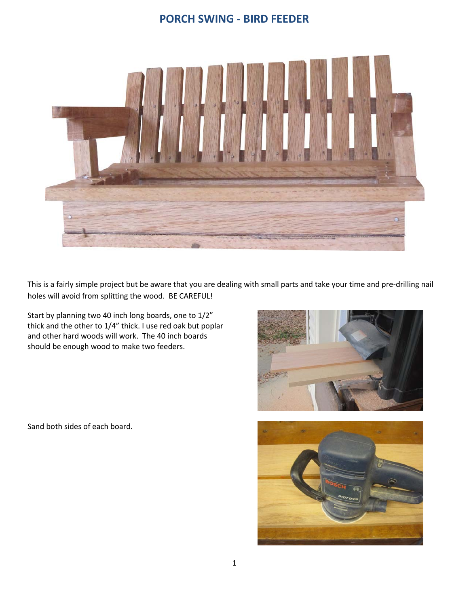## **PORCH SWING - BIRD FEEDER**



This is a fairly simple project but be aware that you are dealing with small parts and take your time and pre-drilling nail holes will avoid from splitting the wood. BE CAREFUL!

Start by planning two 40 inch long boards, one to 1/2" thick and the other to 1/4" thick. I use red oak but poplar and other hard woods will work. The 40 inch boards should be enough wood to make two feeders.

Sand both sides of each board.



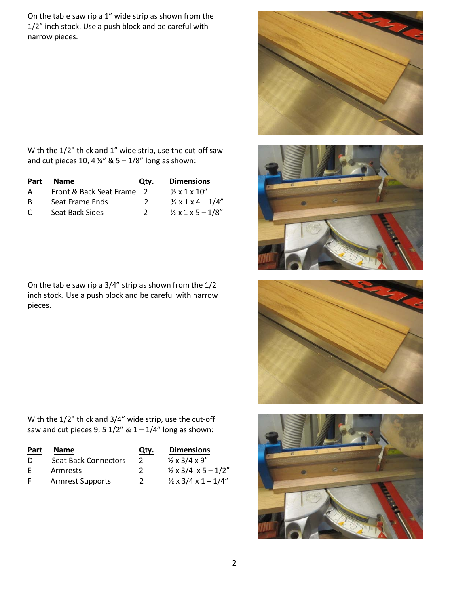On the table saw rip a 1" wide strip as shown from the 1/2" inch stock. Use a push block and be careful with narrow pieces.







With the 1/2" thick and 1" wide strip, use the cut-off saw and cut pieces 10, 4  $\frac{1}{4}$  & 5 – 1/8" long as shown:

| Part     | <b>Name</b>               | Qty.          | <b>Dimensions</b>                  |
|----------|---------------------------|---------------|------------------------------------|
| A        | Front & Back Seat Frame 2 |               | $\frac{1}{2} \times 1 \times 10''$ |
| <b>B</b> | Seat Frame Ends           | $\mathcal{L}$ | $\frac{1}{2}$ x 1 x 4 - 1/4"       |
| C        | Seat Back Sides           | $\mathcal{L}$ | $\frac{1}{2}$ x 1 x 5 - 1/8"       |

On the table saw rip a 3/4" strip as shown from the 1/2 inch stock. Use a push block and be careful with narrow pieces.

With the 1/2" thick and 3/4" wide strip, use the cut-off saw and cut pieces 9, 5  $1/2$ " &  $1 - 1/4$ " long as shown:

| Part | <b>Name</b>                 | Qty.          | <b>Dimensions</b>                                       |
|------|-----------------------------|---------------|---------------------------------------------------------|
| D    | <b>Seat Back Connectors</b> | $\mathcal{L}$ | $\frac{1}{2} \times \frac{3}{4} \times \frac{9}{7}$     |
| -F   | Armrests                    | 2             | $\frac{1}{2} \times 3/4 \times 5 - 1/2''$               |
| F    | <b>Armrest Supports</b>     | 2             | $\frac{1}{2} \times \frac{3}{4} \times 1 - \frac{1}{4}$ |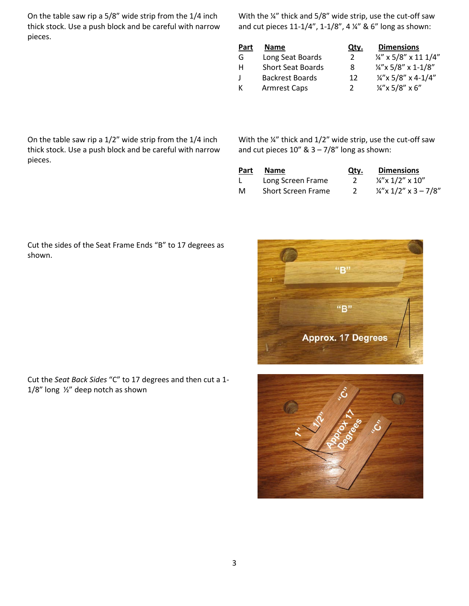On the table saw rip a 5/8" wide strip from the 1/4 inch thick stock. Use a push block and be careful with narrow pieces.

With the ¼" thick and 5/8" wide strip, use the cut-off saw and cut pieces 11-1/4", 1-1/8", 4 ¼" & 6" long as shown:

| Part | <b>Name</b>              | Qty. | <b>Dimensions</b>                |
|------|--------------------------|------|----------------------------------|
| G    | Long Seat Boards         | 2    | $\frac{1}{4}$ " x 5/8" x 11 1/4" |
| н    | <b>Short Seat Boards</b> | 8    | $\frac{1}{4}$ "x 5/8" x 1-1/8"   |
|      | <b>Backrest Boards</b>   | 12   | $\frac{1}{4}$ "x 5/8" x 4-1/4"   |
|      | <b>Armrest Caps</b>      | 2    | $\frac{1}{4}$ "x 5/8" x 6"       |
|      |                          |      |                                  |

On the table saw rip a 1/2" wide strip from the 1/4 inch thick stock. Use a push block and be careful with narrow pieces.

With the ¼" thick and 1/2" wide strip, use the cut-off saw and cut pieces  $10''$  &  $3 - 7/8''$  long as shown:

| Part | <b>Name</b>        | Qty. | <b>Dimensions</b>               |
|------|--------------------|------|---------------------------------|
|      | Long Screen Frame  |      | $\frac{1}{4}$ x 1/2" x 10"      |
| M    | Short Screen Frame |      | $\frac{1}{4}$ x 1/2" x 3 - 7/8" |





Cut the sides of the Seat Frame Ends "B" to 17 degrees as shown.

Cut the *Seat Back Sides* "C" to 17 degrees and then cut a 1- 1/8" long ½" deep notch as shown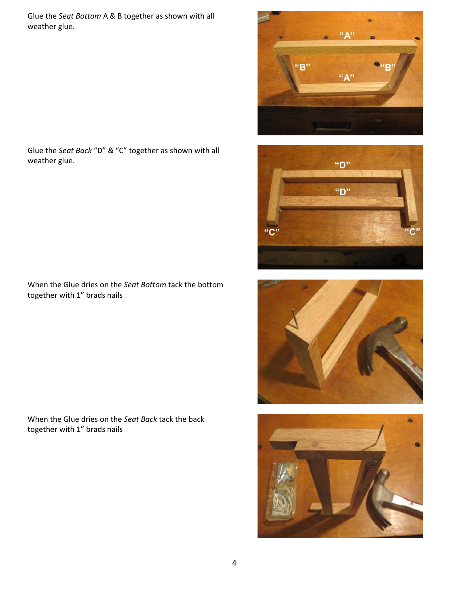Glue the *Seat Bottom* A & B together as shown with all weather glue.









Glue the *Seat Back* "D" & "C" together as shown with all weather glue.

When the Glue dries on the *Seat Bottom* tack the bottom together with 1" brads nails

When the Glue dries on the *Seat Back* tack the back together with 1" brads nails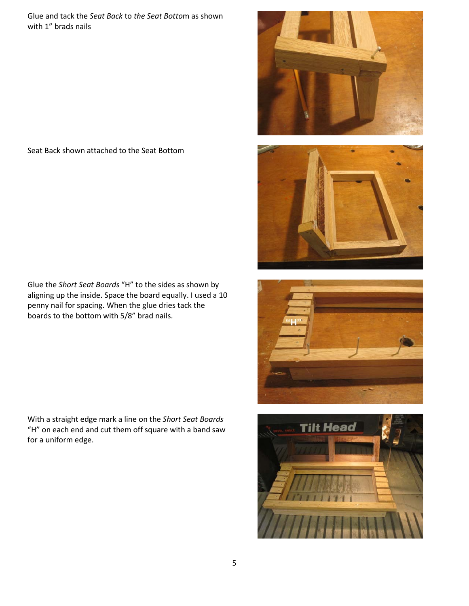Glue and tack the *Seat Back* to *the Seat Botto*m as shown with 1" brads nails

## Seat Back shown attached to the Seat Bottom

Glue the *Short Seat Boards* "H" to the sides as shown by aligning up the inside. Space the board equally. I used a 10 penny nail for spacing. When the glue dries tack the boards to the bottom with 5/8" brad nails.

With a straight edge mark a line on the *Short Seat Boards* "H" on each end and cut them off square with a band saw for a uniform edge.







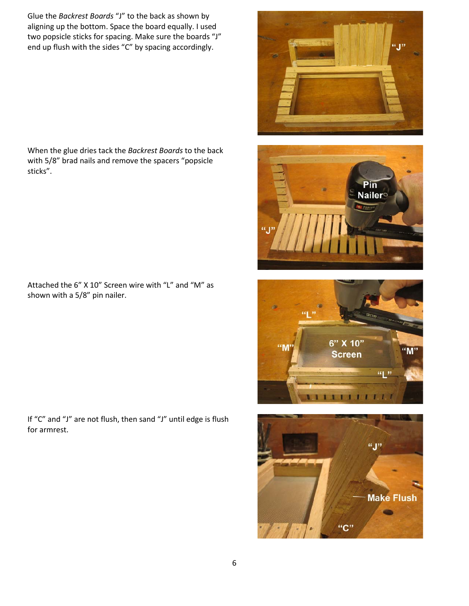Glue the *Backrest Boards* "J" to the back as shown by aligning up the bottom. Space the board equally. I used two popsicle sticks for spacing. Make sure the boards "J" end up flush with the sides "C" by spacing accordingly.

When the glue dries tack the *Backrest Boards* to the back with 5/8" brad nails and remove the spacers "popsicle sticks".

Attached the 6" X 10" Screen wire with "L" and "M" as shown with a 5/8" pin nailer.

If "C" and "J" are not flush, then sand "J" until edge is flush for armrest.